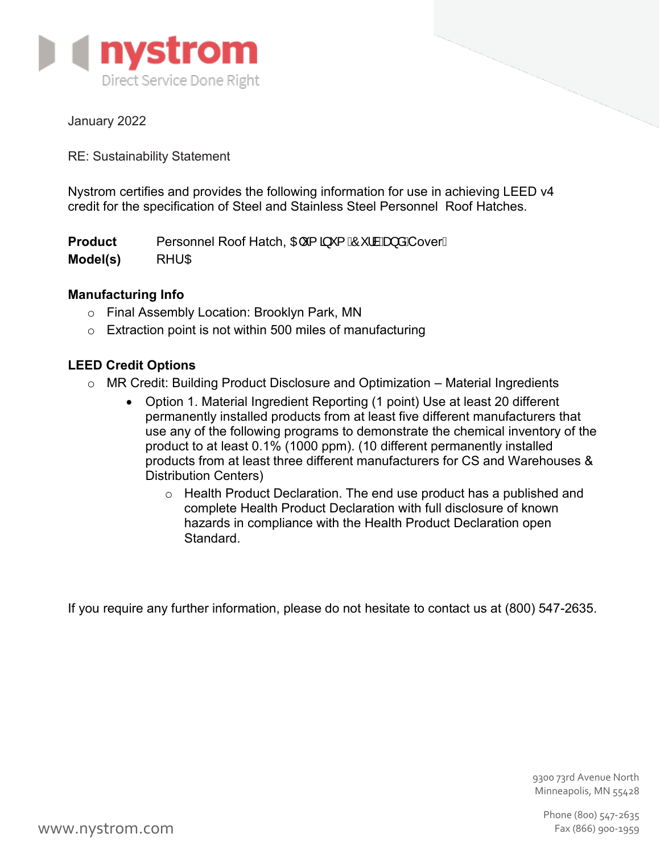

January 2022

RE: Sustainability Statement

Nystrom certifies and provides the following information for use in achieving LEED v4 credit for the specification of Steel and Stainless Steel Personnel Roof Hatches.

**Product Model(s)** Personnel Roof Hatch, Off {  $\tilde{a}$  \* {  $\tilde{A}$ <sup>o</sup> and {  $\tilde{A}$ } and {  $\tilde{A}$  \cover A **RHUCF** 

# **Manufacturing Info**

- o Final Assembly Location: Brooklyn Park, MN
- $\circ$  Extraction point is not within 500 miles of manufacturing

# **LEED Credit Options**

- $\circ$  MR Credit: Building Product Disclosure and Optimization Material Ingredients
	- Option 1. Material Ingredient Reporting (1 point) Use at least 20 different permanently installed products from at least five different manufacturers that use any of the following programs to demonstrate the chemical inventory of the product to at least 0.1% (1000 ppm). (10 different permanently installed products from at least three different manufacturers for CS and Warehouses & Distribution Centers)
		- o Health Product Declaration. The end use product has a published and complete Health Product Declaration with full disclosure of known hazards in compliance with the Health Product Declaration open Standard.

If you require any further information, please do not hesitate to contact us at (800) 547-2635.

9300 73rd Avenue North Minneapolis, MN 55428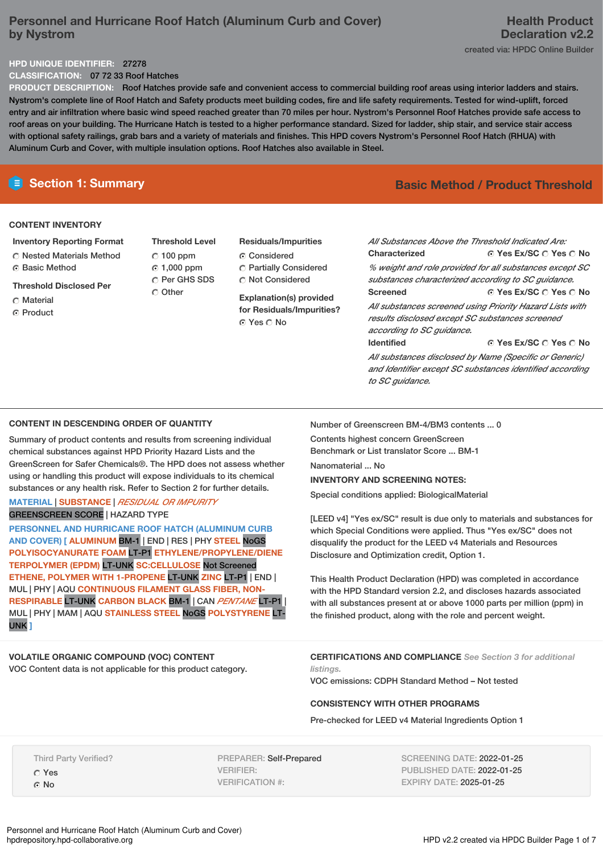# **Personnel and Hurricane Roof Hatch (Aluminum Curb and Cover) by Nystrom**

# **Health Product Declaration v2.2** created via: HPDC Online Builder

### **HPD UNIQUE IDENTIFIER:** 27278

**CLASSIFICATION:** 07 72 33 Roof Hatches

**PRODUCT DESCRIPTION:** Roof Hatches provide safe and convenient access to commercial building roof areas using interior ladders and stairs. Nystrom's complete line of Roof Hatch and Safety products meet building codes, fire and life safety requirements. Tested for wind-uplift, forced entry and air infiltration where basic wind speed reached greater than 70 miles per hour. Nystrom's Personnel Roof Hatches provide safe access to roof areas on your building. The Hurricane Hatch is tested to a higher performance standard. Sized for ladder, ship stair, and service stair access with optional safety railings, grab bars and a variety of materials and finishes. This HPD covers Nystrom's Personnel Roof Hatch (RHUA) with Aluminum Curb and Cover, with multiple insulation options. Roof Hatches also available in Steel.

### **CONTENT INVENTORY**

- **Inventory Reporting Format**
- Nested Materials Method
- **G** Basic Method
- **Threshold Disclosed Per**
- Material
- ⊙ Product

**Threshold Level**  $C$  100 ppm 1,000 ppm C Per GHS SDS Other

**Residuals/Impurities** C Considered

 Partially Considered Not Considered

**Explanation(s) provided for Residuals/Impurities?** ⊙ Yes O No

# **E** Section 1: Summary **Basic Method / Product Threshold**

**© Yes Ex/SC ⊙ Yes ⊙ No © Yes Ex/SC ○ Yes ○ No** *All Substances Above the Threshold Indicated Are:* **Characterized** *% weight and role provided for all substances except SC substances characterized according to SC guidance.* **Screened** *All substances screened using Priority Hazard Lists with results disclosed except SC substances screened according to SC guidance.*

**Identified**

Number of Greenscreen BM-4/BM3 contents ... 0

Contents highest concern GreenScreen Benchmark or List translator Score ... BM-1

**INVENTORY AND SCREENING NOTES:** Special conditions applied: BiologicalMaterial

Disclosure and Optimization credit, Option 1.

Nanomaterial ... No.

**© Yes Ex/SC ○ Yes ○ No** 

*All substances disclosed by Name (Specific or Generic) and Identifier except SC substances identified according to SC guidance.*

# **CONTENT IN DESCENDING ORDER OF QUANTITY**

Summary of product contents and results from screening individual chemical substances against HPD Priority Hazard Lists and the GreenScreen for Safer Chemicals®. The HPD does not assess whether using or handling this product will expose individuals to its chemical substances or any health risk. Refer to Section 2 for further details.

# **MATERIAL** | **SUBSTANCE** | *RESIDUAL OR IMPURITY* GREENSCREEN SCORE | HAZARD TYPE

**PERSONNEL AND HURRICANE ROOF HATCH (ALUMINUM CURB AND COVER) [ ALUMINUM** BM-1 | END | RES | PHY **STEEL** NoGS **POLYISOCYANURATE FOAM** LT-P1 **ETHYLENE/PROPYLENE/DIENE TERPOLYMER (EPDM)** LT-UNK **SC:CELLULOSE** Not Screened **ETHENE, POLYMER WITH 1-PROPENE** LT-UNK **ZINC** LT-P1 | END | MUL | PHY | AQU **CONTINUOUS FILAMENT GLASS FIBER, NON-RESPIRABLE** LT-UNK **CARBON BLACK** BM-1 | CAN *PENTANE* LT-P1 | MUL | PHY | MAM | AQU **STAINLESS STEEL** NoGS **POLYSTYRENE** LT-UNK **]**

# **VOLATILE ORGANIC COMPOUND (VOC) CONTENT** VOC Content data is not applicable for this product category.

This Health Product Declaration (HPD) was completed in accordance with the HPD Standard version 2.2, and discloses hazards associated

with all substances present at or above 1000 parts per million (ppm) in the finished product, along with the role and percent weight.

[LEED v4] "Yes ex/SC" result is due only to materials and substances for which Special Conditions were applied. Thus "Yes ex/SC" does not disqualify the product for the LEED v4 Materials and Resources

**CERTIFICATIONS AND COMPLIANCE** *See Section 3 for additional listings.*

VOC emissions: CDPH Standard Method – Not tested

# **CONSISTENCY WITH OTHER PROGRAMS**

Pre-checked for LEED v4 Material Ingredients Option 1

Third Party Verified? Yes

G No

PREPARER: Self-Prepared VERIFIER: VERIFICATION #:

SCREENING DATE: 2022-01-25 PUBLISHED DATE: 2022-01-25 EXPIRY DATE: 2025-01-25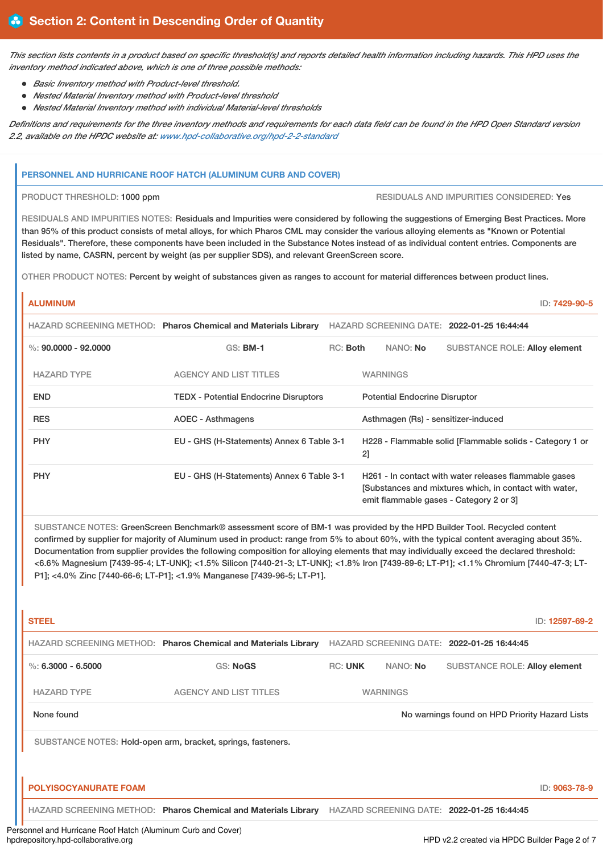This section lists contents in a product based on specific threshold(s) and reports detailed health information including hazards. This HPD uses the *inventory method indicated above, which is one of three possible methods:*

- *Basic Inventory method with Product-level threshold.*
- *Nested Material Inventory method with Product-level threshold*
- *Nested Material Inventory method with individual Material-level thresholds*

Definitions and requirements for the three inventory methods and requirements for each data field can be found in the HPD Open Standard version *2.2, available on the HPDC website at: [www.hpd-collaborative.org/hpd-2-2-standard](https://www.hpd-collaborative.org/hpd-2-2-standard)*

## **PERSONNEL AND HURRICANE ROOF HATCH (ALUMINUM CURB AND COVER)**

PRODUCT THRESHOLD: 1000 ppm RESIDUALS AND IMPURITIES CONSIDERED: Yes

RESIDUALS AND IMPURITIES NOTES: Residuals and Impurities were considered by following the suggestions of Emerging Best Practices. More than 95% of this product consists of metal alloys, for which Pharos CML may consider the various alloying elements as "Known or Potential Residuals". Therefore, these components have been included in the Substance Notes instead of as individual content entries. Components are listed by name, CASRN, percent by weight (as per supplier SDS), and relevant GreenScreen score.

OTHER PRODUCT NOTES: Percent by weight of substances given as ranges to account for material differences between product lines.

# **ALUMINUM** ID: **7429-90-5** HAZARD SCREENING METHOD: **Pharos Chemical and Materials Library** HAZARD SCREENING DATE: **2022-01-25 16:44:44** %: **90.0000 - 92.0000** GS: **BM-1** RC: **Both** NANO: **No** SUBSTANCE ROLE: **Alloy element**

| <b>HAZARD TYPE</b> | <b>AGENCY AND LIST TITLES</b>                | <b>WARNINGS</b>                                                                                                                                           |
|--------------------|----------------------------------------------|-----------------------------------------------------------------------------------------------------------------------------------------------------------|
| <b>END</b>         | <b>TEDX - Potential Endocrine Disruptors</b> | <b>Potential Endocrine Disruptor</b>                                                                                                                      |
| <b>RES</b>         | AOEC - Asthmagens                            | Asthmagen (Rs) - sensitizer-induced                                                                                                                       |
| <b>PHY</b>         | EU - GHS (H-Statements) Annex 6 Table 3-1    | H228 - Flammable solid [Flammable solids - Category 1 or<br>2]                                                                                            |
| <b>PHY</b>         | EU - GHS (H-Statements) Annex 6 Table 3-1    | H261 - In contact with water releases flammable gases<br>[Substances and mixtures which, in contact with water,<br>emit flammable gases - Category 2 or 3 |

SUBSTANCE NOTES: GreenScreen Benchmark® assessment score of BM-1 was provided by the HPD Builder Tool. Recycled content confirmed by supplier for majority of Aluminum used in product: range from 5% to about 60%, with the typical content averaging about 35%. Documentation from supplier provides the following composition for alloying elements that may individually exceed the declared threshold: <6.6% Magnesium [7439-95-4; LT-UNK]; <1.5% Silicon [7440-21-3; LT-UNK]; <1.8% Iron [7439-89-6; LT-P1]; <1.1% Chromium [7440-47-3; LT-P1]; <4.0% Zinc [7440-66-6; LT-P1]; <1.9% Manganese [7439-96-5; LT-P1].

| <b>STEEL</b>                 |                                                                |                |                 |                                                | ID: 12597-69-2 |
|------------------------------|----------------------------------------------------------------|----------------|-----------------|------------------------------------------------|----------------|
|                              | HAZARD SCREENING METHOD: Pharos Chemical and Materials Library |                |                 | HAZARD SCREENING DATE: 2022-01-25 16:44:45     |                |
| %: $6.3000 - 6.5000$         | GS: NoGS                                                       | <b>RC: UNK</b> | NANO: No        | <b>SUBSTANCE ROLE: Alloy element</b>           |                |
| <b>HAZARD TYPE</b>           | <b>AGENCY AND LIST TITLES</b>                                  |                | <b>WARNINGS</b> |                                                |                |
| None found                   |                                                                |                |                 | No warnings found on HPD Priority Hazard Lists |                |
|                              | SUBSTANCE NOTES: Hold-open arm, bracket, springs, fasteners.   |                |                 |                                                |                |
|                              |                                                                |                |                 |                                                |                |
| <b>POLYISOCYANURATE FOAM</b> |                                                                |                |                 |                                                | ID: 9063-78-9  |
|                              | HAZARD SCREENING METHOD: Pharos Chemical and Materials Library |                |                 | HAZARD SCREENING DATE: 2022-01-25 16:44:45     |                |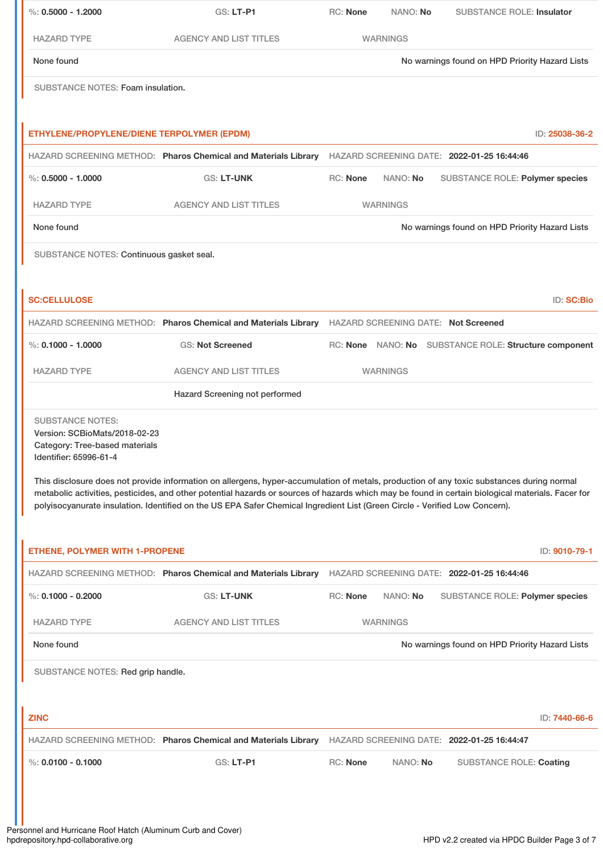| %: $0.5000 - 1.2000$                                                                                                 | GS: LT-P1                                                                                                                                                                                                                                                                                                                                                                                                                     | RC: None        | NANO: No        | <b>SUBSTANCE ROLE: Insulator</b>                      |                   |
|----------------------------------------------------------------------------------------------------------------------|-------------------------------------------------------------------------------------------------------------------------------------------------------------------------------------------------------------------------------------------------------------------------------------------------------------------------------------------------------------------------------------------------------------------------------|-----------------|-----------------|-------------------------------------------------------|-------------------|
| <b>HAZARD TYPE</b>                                                                                                   | <b>AGENCY AND LIST TITLES</b>                                                                                                                                                                                                                                                                                                                                                                                                 |                 | <b>WARNINGS</b> |                                                       |                   |
| None found                                                                                                           |                                                                                                                                                                                                                                                                                                                                                                                                                               |                 |                 | No warnings found on HPD Priority Hazard Lists        |                   |
| SUBSTANCE NOTES: Foam insulation.                                                                                    |                                                                                                                                                                                                                                                                                                                                                                                                                               |                 |                 |                                                       |                   |
|                                                                                                                      |                                                                                                                                                                                                                                                                                                                                                                                                                               |                 |                 |                                                       |                   |
| ETHYLENE/PROPYLENE/DIENE TERPOLYMER (EPDM)                                                                           |                                                                                                                                                                                                                                                                                                                                                                                                                               |                 |                 |                                                       | ID: 25038-36-2    |
|                                                                                                                      | HAZARD SCREENING METHOD: Pharos Chemical and Materials Library                                                                                                                                                                                                                                                                                                                                                                |                 |                 | HAZARD SCREENING DATE: 2022-01-25 16:44:46            |                   |
| $\%: 0.5000 - 1.0000$                                                                                                | GS: LT-UNK                                                                                                                                                                                                                                                                                                                                                                                                                    | <b>RC: None</b> | NANO: No        | SUBSTANCE ROLE: Polymer species                       |                   |
| <b>HAZARD TYPE</b>                                                                                                   | <b>AGENCY AND LIST TITLES</b>                                                                                                                                                                                                                                                                                                                                                                                                 |                 | <b>WARNINGS</b> |                                                       |                   |
| None found                                                                                                           |                                                                                                                                                                                                                                                                                                                                                                                                                               |                 |                 | No warnings found on HPD Priority Hazard Lists        |                   |
| SUBSTANCE NOTES: Continuous gasket seal.                                                                             |                                                                                                                                                                                                                                                                                                                                                                                                                               |                 |                 |                                                       |                   |
|                                                                                                                      |                                                                                                                                                                                                                                                                                                                                                                                                                               |                 |                 |                                                       |                   |
| <b>SC:CELLULOSE</b>                                                                                                  |                                                                                                                                                                                                                                                                                                                                                                                                                               |                 |                 |                                                       | <b>ID: SC:Bio</b> |
|                                                                                                                      | HAZARD SCREENING METHOD: Pharos Chemical and Materials Library HAZARD SCREENING DATE: Not Screened                                                                                                                                                                                                                                                                                                                            |                 |                 |                                                       |                   |
| %: $0.1000 - 1.0000$                                                                                                 | <b>GS: Not Screened</b>                                                                                                                                                                                                                                                                                                                                                                                                       |                 |                 | RC: None NANO: No SUBSTANCE ROLE: Structure component |                   |
| <b>HAZARD TYPE</b>                                                                                                   | <b>AGENCY AND LIST TITLES</b>                                                                                                                                                                                                                                                                                                                                                                                                 |                 | <b>WARNINGS</b> |                                                       |                   |
|                                                                                                                      | Hazard Screening not performed                                                                                                                                                                                                                                                                                                                                                                                                |                 |                 |                                                       |                   |
| <b>SUBSTANCE NOTES:</b><br>Version: SCBioMats/2018-02-23<br>Category: Tree-based materials<br>Identifier: 65996-61-4 | This disclosure does not provide information on allergens, hyper-accumulation of metals, production of any toxic substances during normal<br>metabolic activities, pesticides, and other potential hazards or sources of hazards which may be found in certain biological materials. Facer for<br>polyisocyanurate insulation. Identified on the US EPA Safer Chemical Ingredient List (Green Circle - Verified Low Concern). |                 |                 |                                                       |                   |
|                                                                                                                      |                                                                                                                                                                                                                                                                                                                                                                                                                               |                 |                 |                                                       |                   |
| <b>ETHENE, POLYMER WITH 1-PROPENE</b>                                                                                |                                                                                                                                                                                                                                                                                                                                                                                                                               |                 |                 |                                                       | ID: 9010-79-1     |
|                                                                                                                      | HAZARD SCREENING METHOD: Pharos Chemical and Materials Library                                                                                                                                                                                                                                                                                                                                                                |                 |                 | HAZARD SCREENING DATE: 2022-01-25 16:44:46            |                   |
| $\%$ : 0.1000 - 0.2000                                                                                               | GS: LT-UNK                                                                                                                                                                                                                                                                                                                                                                                                                    | RC: None        | NANO: No        | SUBSTANCE ROLE: Polymer species                       |                   |
| <b>HAZARD TYPE</b>                                                                                                   | <b>AGENCY AND LIST TITLES</b>                                                                                                                                                                                                                                                                                                                                                                                                 |                 | <b>WARNINGS</b> |                                                       |                   |
| None found                                                                                                           |                                                                                                                                                                                                                                                                                                                                                                                                                               |                 |                 | No warnings found on HPD Priority Hazard Lists        |                   |
| SUBSTANCE NOTES: Red grip handle.                                                                                    |                                                                                                                                                                                                                                                                                                                                                                                                                               |                 |                 |                                                       |                   |
|                                                                                                                      |                                                                                                                                                                                                                                                                                                                                                                                                                               |                 |                 |                                                       |                   |
| <b>ZINC</b>                                                                                                          |                                                                                                                                                                                                                                                                                                                                                                                                                               |                 |                 |                                                       | ID: 7440-66-6     |
|                                                                                                                      | HAZARD SCREENING METHOD: Pharos Chemical and Materials Library                                                                                                                                                                                                                                                                                                                                                                |                 |                 | HAZARD SCREENING DATE: 2022-01-25 16:44:47            |                   |
| $\%$ : 0.0100 - 0.1000                                                                                               | GS: LT-P1                                                                                                                                                                                                                                                                                                                                                                                                                     | RC: None        | NANO: No        | <b>SUBSTANCE ROLE: Coating</b>                        |                   |
|                                                                                                                      |                                                                                                                                                                                                                                                                                                                                                                                                                               |                 |                 |                                                       |                   |
|                                                                                                                      |                                                                                                                                                                                                                                                                                                                                                                                                                               |                 |                 |                                                       |                   |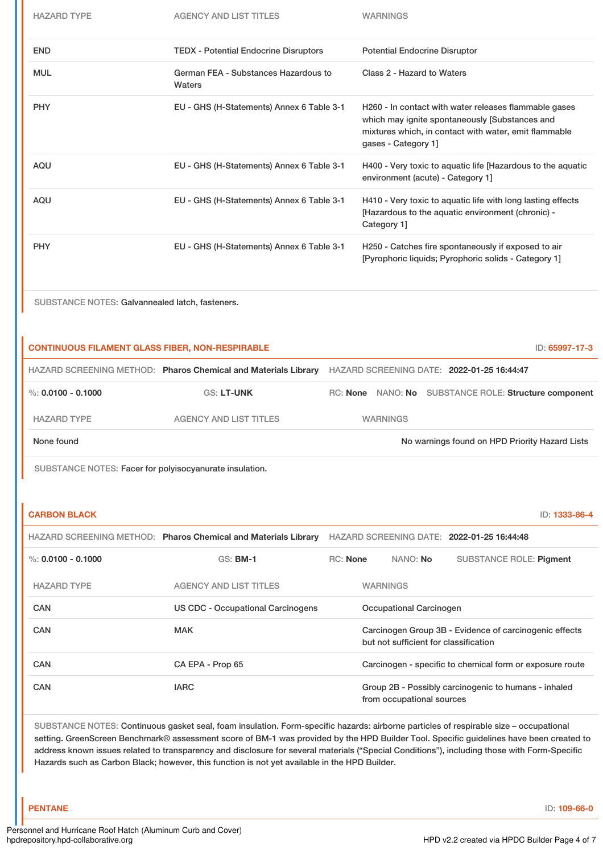| <b>HAZARD TYPE</b>                                      | <b>AGENCY AND LIST TITLES</b>                                  |                 | <b>WARNINGS</b>                                                       |                                                                                                                |  |  |
|---------------------------------------------------------|----------------------------------------------------------------|-----------------|-----------------------------------------------------------------------|----------------------------------------------------------------------------------------------------------------|--|--|
| <b>END</b>                                              | <b>TEDX - Potential Endocrine Disruptors</b>                   |                 | <b>Potential Endocrine Disruptor</b>                                  |                                                                                                                |  |  |
| <b>MUL</b>                                              | German FEA - Substances Hazardous to<br>Waters                 |                 | Class 2 - Hazard to Waters                                            |                                                                                                                |  |  |
| <b>PHY</b>                                              | EU - GHS (H-Statements) Annex 6 Table 3-1                      |                 | which may ignite spontaneously [Substances and<br>gases - Category 1] | H260 - In contact with water releases flammable gases<br>mixtures which, in contact with water, emit flammable |  |  |
| AQU                                                     | EU - GHS (H-Statements) Annex 6 Table 3-1                      |                 | environment (acute) - Category 1]                                     | H400 - Very toxic to aquatic life [Hazardous to the aquatic                                                    |  |  |
| <b>AQU</b>                                              | EU - GHS (H-Statements) Annex 6 Table 3-1                      |                 | [Hazardous to the aquatic environment (chronic) -<br>Category 1]      | H410 - Very toxic to aquatic life with long lasting effects                                                    |  |  |
| <b>PHY</b>                                              | EU - GHS (H-Statements) Annex 6 Table 3-1                      |                 |                                                                       | H250 - Catches fire spontaneously if exposed to air<br>[Pyrophoric liquids; Pyrophoric solids - Category 1]    |  |  |
| SUBSTANCE NOTES: Galvannealed latch, fasteners.         |                                                                |                 |                                                                       |                                                                                                                |  |  |
| <b>CONTINUOUS FILAMENT GLASS FIBER, NON-RESPIRABLE</b>  |                                                                |                 |                                                                       | ID: 65997-17-3                                                                                                 |  |  |
|                                                         | HAZARD SCREENING METHOD: Pharos Chemical and Materials Library |                 | HAZARD SCREENING DATE: 2022-01-25 16:44:47                            |                                                                                                                |  |  |
| $\%$ : 0.0100 - 0.1000                                  | <b>GS: LT-UNK</b>                                              |                 |                                                                       | RC: None NANO: No SUBSTANCE ROLE: Structure component                                                          |  |  |
| <b>HAZARD TYPE</b>                                      | <b>AGENCY AND LIST TITLES</b>                                  |                 | <b>WARNINGS</b>                                                       |                                                                                                                |  |  |
| None found                                              |                                                                |                 |                                                                       | No warnings found on HPD Priority Hazard Lists                                                                 |  |  |
| SUBSTANCE NOTES: Facer for polyisocyanurate insulation. |                                                                |                 |                                                                       |                                                                                                                |  |  |
|                                                         |                                                                |                 |                                                                       |                                                                                                                |  |  |
| <b>CARBON BLACK</b>                                     |                                                                |                 |                                                                       | ID: 1333-86-4                                                                                                  |  |  |
|                                                         | HAZARD SCREENING METHOD: Pharos Chemical and Materials Library |                 | HAZARD SCREENING DATE: 2022-01-25 16:44:48                            |                                                                                                                |  |  |
| %: $0.0100 - 0.1000$                                    | $GS:$ BM-1                                                     | <b>RC: None</b> | NANO: No                                                              | <b>SUBSTANCE ROLE: Pigment</b>                                                                                 |  |  |
| <b>HAZARD TYPE</b>                                      | <b>AGENCY AND LIST TITLES</b>                                  |                 | <b>WARNINGS</b>                                                       |                                                                                                                |  |  |
| <b>CAN</b>                                              | <b>US CDC - Occupational Carcinogens</b>                       |                 | Occupational Carcinogen                                               |                                                                                                                |  |  |
| <b>CAN</b>                                              | <b>MAK</b>                                                     |                 |                                                                       | Carcinogen Group 3B - Evidence of carcinogenic effects                                                         |  |  |

| <b>UNIV</b> | <b>IVIAIV</b>    | Carcinogen Group 3D - Evidence or carcinogenic enects<br>but not sufficient for classification |
|-------------|------------------|------------------------------------------------------------------------------------------------|
| CAN         | CA EPA - Prop 65 | Carcinogen - specific to chemical form or exposure route                                       |
| <b>CAN</b>  | <b>IARC</b>      | Group 2B - Possibly carcinogenic to humans - inhaled<br>from occupational sources              |

SUBSTANCE NOTES: Continuous gasket seal, foam insulation. Form-specific hazards: airborne particles of respirable size – occupational setting. GreenScreen Benchmark® assessment score of BM-1 was provided by the HPD Builder Tool. Specific guidelines have been created to address known issues related to transparency and disclosure for several materials ("Special Conditions"), including those with Form-Specific Hazards such as Carbon Black; however, this function is not yet available in the HPD Builder.

**PENTANE** ID: **109-66-0**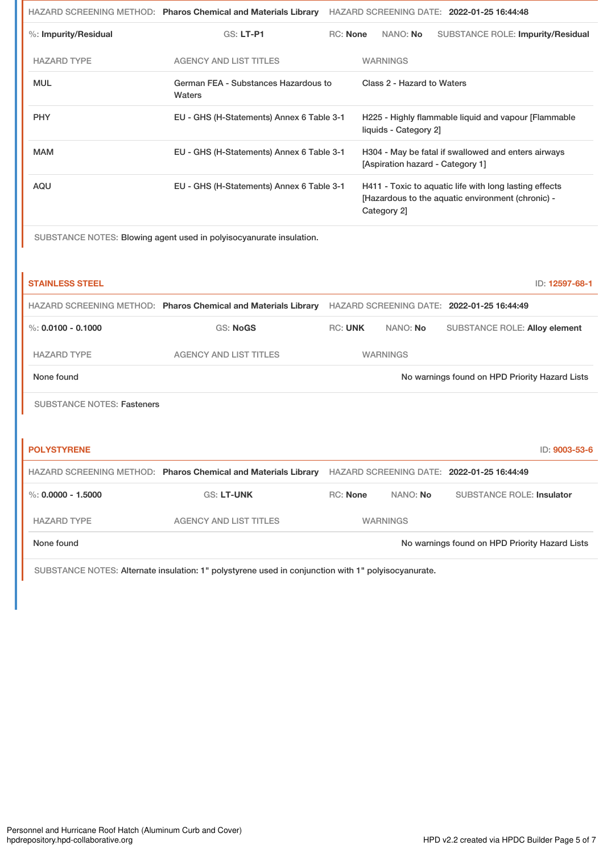|                         | HAZARD SCREENING METHOD: Pharos Chemical and Materials Library |          |                                  | HAZARD SCREENING DATE: 2022-01-25 16:44:48                                                                  |
|-------------------------|----------------------------------------------------------------|----------|----------------------------------|-------------------------------------------------------------------------------------------------------------|
| $%$ : Impurity/Residual | GS: LT-P1                                                      | RC: None | NANO: No                         | <b>SUBSTANCE ROLE: Impurity/Residual</b>                                                                    |
| <b>HAZARD TYPE</b>      | <b>AGENCY AND LIST TITLES</b>                                  |          | <b>WARNINGS</b>                  |                                                                                                             |
| <b>MUL</b>              | German FEA - Substances Hazardous to<br>Waters                 |          | Class 2 - Hazard to Waters       |                                                                                                             |
| <b>PHY</b>              | EU - GHS (H-Statements) Annex 6 Table 3-1                      |          | liquids - Category 21            | H225 - Highly flammable liquid and vapour [Flammable                                                        |
| <b>MAM</b>              | EU - GHS (H-Statements) Annex 6 Table 3-1                      |          | [Aspiration hazard - Category 1] | H304 - May be fatal if swallowed and enters airways                                                         |
| AQU                     | EU - GHS (H-Statements) Annex 6 Table 3-1                      |          | Category 2]                      | H411 - Toxic to aquatic life with long lasting effects<br>[Hazardous to the aquatic environment (chronic) - |

SUBSTANCE NOTES: Blowing agent used in polyisocyanurate insulation.

| <b>STAINLESS STEEL</b>            |                                                                |                |                 | ID: 12597-68-1                                 |
|-----------------------------------|----------------------------------------------------------------|----------------|-----------------|------------------------------------------------|
|                                   | HAZARD SCREENING METHOD: Pharos Chemical and Materials Library |                |                 | HAZARD SCREENING DATE: 2022-01-25 16:44:49     |
| $\%: 0.0100 - 0.1000$             | <b>GS: NoGS</b>                                                | <b>RC: UNK</b> | NANO: No        | <b>SUBSTANCE ROLE: Alloy element</b>           |
| <b>HAZARD TYPE</b>                | <b>AGENCY AND LIST TITLES</b>                                  |                | <b>WARNINGS</b> |                                                |
| None found                        |                                                                |                |                 | No warnings found on HPD Priority Hazard Lists |
| <b>SUBSTANCE NOTES: Fasteners</b> |                                                                |                |                 |                                                |
|                                   |                                                                |                |                 |                                                |
| <b>POLYSTYRENE</b>                |                                                                |                |                 | ID: 9003-53-6                                  |
|                                   | HAZARD SCREENING METHOD: Pharos Chemical and Materials Library |                |                 | HAZARD SCREENING DATE: 2022-01-25 16:44:49     |
| %: $0.0000 - 1.5000$              | <b>GS: LT-UNK</b>                                              | RC: None       | NANO: No        | <b>SUBSTANCE ROLE: Insulator</b>               |
| <b>HAZARD TYPE</b>                | <b>AGENCY AND LIST TITLES</b>                                  |                | <b>WARNINGS</b> |                                                |
| None found                        |                                                                |                |                 | No warnings found on HPD Priority Hazard Lists |

SUBSTANCE NOTES: Alternate insulation: 1" polystyrene used in conjunction with 1" polyisocyanurate.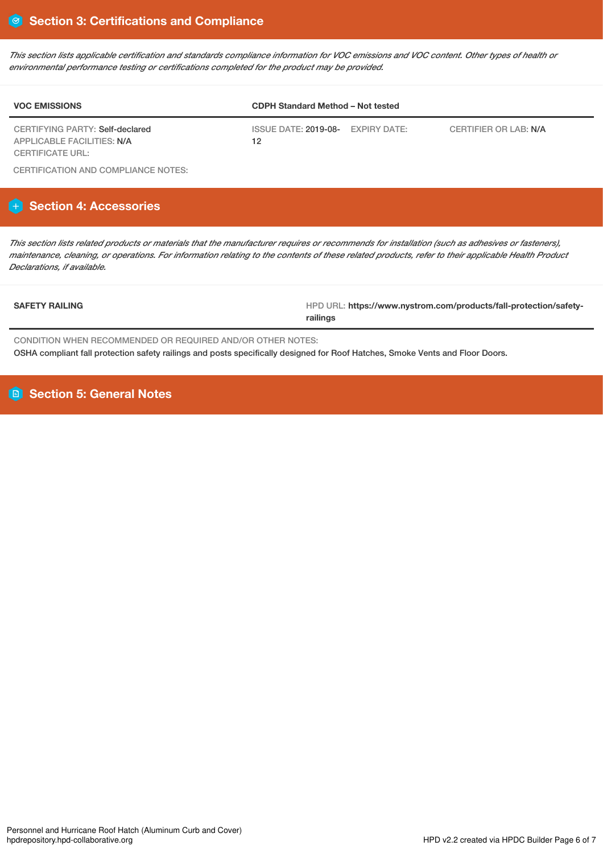This section lists applicable certification and standards compliance information for VOC emissions and VOC content. Other types of health or *environmental performance testing or certifications completed for the product may be provided.*

| <b>VOC EMISSIONS</b>                                          | <b>CDPH Standard Method - Not tested</b> |  |                       |  |
|---------------------------------------------------------------|------------------------------------------|--|-----------------------|--|
| CERTIFYING PARTY: Self-declared<br>APPLICABLE FACILITIES: N/A | ISSUE DATE: 2019-08- EXPIRY DATE:<br>12  |  | CERTIFIER OR LAB: N/A |  |
| CERTIFICATE URL:                                              |                                          |  |                       |  |

CERTIFICATION AND COMPLIANCE NOTES:

# **Section 4: Accessories**

This section lists related products or materials that the manufacturer requires or recommends for installation (such as adhesives or fasteners), maintenance, cleaning, or operations. For information relating to the contents of these related products, refer to their applicable Health Product *Declarations, if available.*

**SAFETY RAILING** HPD URL: **https://www.nystrom.com/products/fall-protection/safetyrailings**

CONDITION WHEN RECOMMENDED OR REQUIRED AND/OR OTHER NOTES: OSHA compliant fall protection safety railings and posts specifically designed for Roof Hatches, Smoke Vents and Floor Doors.

**Section 5: General Notes**